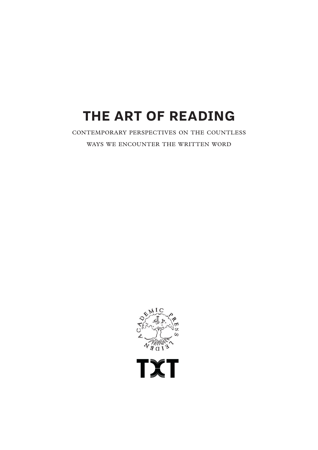## **THE ART OF READING**

CONTEMPORARY PERSPECTIVES ON THE COUNTLESS WAYS WE ENCOUNTER THE WRITTEN WORD



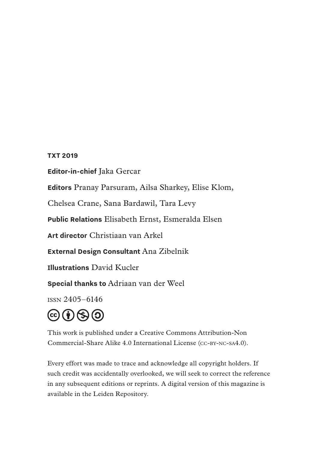#### **TXT 2019**

**Editor-in-chief** Jaka Gercar

**Editors** Pranay Parsuram, Ailsa Sharkey, Elise Klom,

Chelsea Crane, Sana Bardawil, Tara Levy

**Public Relations** Elisabeth Ernst, Esmeralda Elsen

**Art director** Christiaan van Arkel

**External Design Consultant** Ana Zibelnik

**Illustrations** David Kucler

**Special thanks to** Adriaan van der Weel

ISSN 2405–6146



This work is published under a Creative Commons Attribution-Non Commercial-Share Alike 4.0 International License (CC-BY-NC-SA4.0).

Every effort was made to trace and acknowledge all copyright holders. If such credit was accidentally overlooked, we will seek to correct the reference in any subsequent editions or reprints. A digital version of this magazine is available in the Leiden Repository.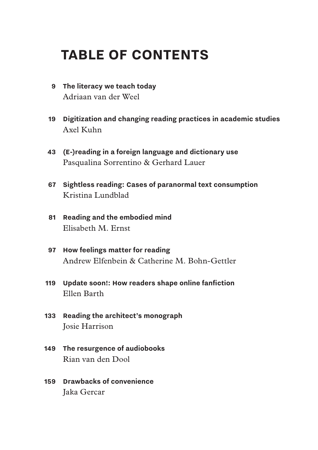## **TABLE OF CONTENTS**

- **The literacy we teach today 9** Adriaan van der Weel
- **Digitization and changing reading practices in academic studies** Axel Kuhn **19**
- **(E-)reading in a foreign language and dictionary use 43** Pasqualina Sorrentino & Gerhard Lauer
- **Sightless reading: Cases of paranormal text consumption 67** Kristina Lundblad
- **Reading and the embodied mind 81** Elisabeth M. Ernst
- **How feelings matter for reading 97** Andrew Elfenbein & Catherine M. Bohn-Gettler
- **Update soon!: How readers shape online fanfiction 119** Ellen Barth
- **Reading the architect's monograph**  Josie Harrison **133**
- **The resurgence of audiobooks 149** Rian van den Dool
- 159 Drawbacks of convenience Jaka Gercar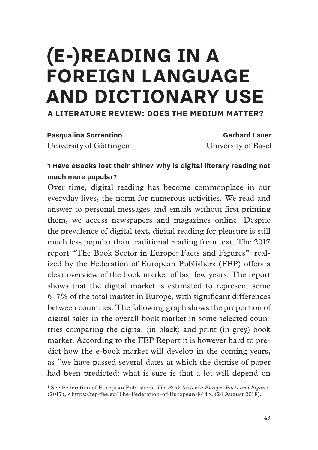# **(E-)READING IN A FOREIGN LANGUAGE AND DICTIONARY USE A LITERATURE REVIEW: DOES THE MEDIUM MATTER?**

**Pasqualina Sorrentino Gerhard Lauer** 

University of Göttingen University of Basel

#### **1 Have eBooks lost their shine? Why is digital literary reading not much more popular?**

Over time, digital reading has become commonplace in our everyday lives, the norm for numerous activities. We read and answer to personal messages and emails without frst printing them, we access newspapers and magazines online. Despite the prevalence of digital text, digital reading for pleasure is still much less popular than traditional reading from text. The 2017 report "The Book Sector in Europe: Facts and Figures"<sup>1</sup> realized by the Federation of European Publishers (FEP) offers a clear overview of the book market of last few years. The report shows that the digital market is estimated to represent some 6–7% of the total market in Europe, with signifcant differences between countries. The following graph shows the proportion of digital sales in the overall book market in some selected countries comparing the digital (in black) and print (in grey) book market. According to the FEP Report it is however hard to predict how the e-book market will develop in the coming years, as "we have passed several dates at which the demise of paper had been predicted: what is sure is that a lot will depend on

<sup>&</sup>lt;sup>1</sup> See Federation of European Publishers, *The Book Sector in Europe: Facts and Figures* (2017), <https://fep-fee.eu/The-Federation-of-European-844>, (24 August 2018).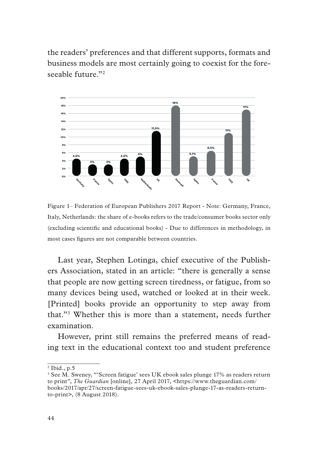the readers' preferences and that different supports, formats and business models are most certainly going to coexist for the foreseeable future."<sup>2</sup>



Figure 1– Federation of European Publishers 2017 Report - Note: Germany, France, Italy, Netherlands: the share of e-books refers to the trade/consumer books sector only (excluding scientifc and educational books) - Due to differences in methodology, in most cases fgures are not comparable between countries.

Last year, Stephen Lotinga, chief executive of the Publishers Association, stated in an article: "there is generally a sense that people are now getting screen tiredness, or fatigue, from so many devices being used, watched or looked at in their week. [Printed] books provide an opportunity to step away from that."3 Whether this is more than a statement, needs further examination.

However, print still remains the preferred means of reading text in the educational context too and student preference

<sup>2</sup> Ibid*.*, p.5

<sup>&</sup>lt;sup>3</sup> See M. Sweney, "'Screen fatigue' sees UK ebook sales plunge 17% as readers return to print", *The Guardian* [online]*,* 27 April 2017, <https://www.theguardian.com/ books/2017/apr/27/screen-fatigue-sees-uk-ebook-sales-plunge-17-as-readers-returnto-print>, (8 August 2018).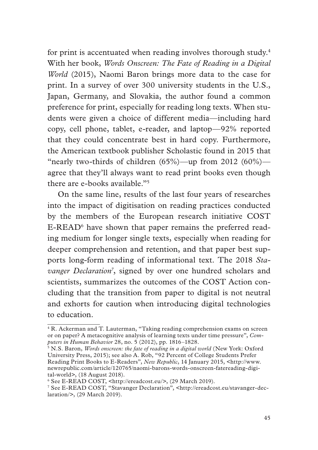for print is accentuated when reading involves thorough study.4 With her book, *Words Onscreen: The Fate of Reading in a Digital World* (2015), Naomi Baron brings more data to the case for print. In a survey of over 300 university students in the U.S., Japan, Germany, and Slovakia, the author found a common preference for print, especially for reading long texts. When students were given a choice of different media—including hard copy, cell phone, tablet, e-reader, and laptop—92% reported that they could concentrate best in hard copy. Furthermore, the American textbook publisher Scholastic found in 2015 that "nearly two-thirds of children  $(65\%)$ —up from 2012  $(60\%)$  agree that they'll always want to read print books even though there are e-books available."5

On the same line, results of the last four years of researches into the impact of digitisation on reading practices conducted by the members of the European research initiative COST E-READ6 have shown that paper remains the preferred reading medium for longer single texts, especially when reading for deeper comprehension and retention, and that paper best supports long-form reading of informational text. The 2018 *Sta*vanger Declaration<sup>7</sup>, signed by over one hundred scholars and scientists, summarizes the outcomes of the COST Action concluding that the transition from paper to digital is not neutral and exhorts for caution when introducing digital technologies to education.

<sup>&</sup>lt;sup>4</sup> R. Ackerman and T. Lauterman, "Taking reading comprehension exams on screen or on paper? A metacognitive analysis of learning texts under time pressure", *Computers in Human Behavior* 28, no. 5 (2012), pp. 1816–1828.

<sup>5</sup> N.S. Baron, *Words onscreen: the fate of reading in a digital world* (New York: Oxford University Press, 2015); see also A. Rob, "92 Percent of College Students Prefer Reading Print Books to E-Readers", *New Republic*, 14 January 2015, <http://www. newrepublic.com/article/120765/naomi-barons-words-onscreen-fatereading-digital-world>, (18 August 2018).

<sup>6</sup> See E-READ COST, <http://ereadcost.eu/>, (29 March 2019).

<sup>7</sup> See E-READ COST, "Stavanger Declaration", <http://ereadcost.eu/stavanger-declaration/>, (29 March 2019).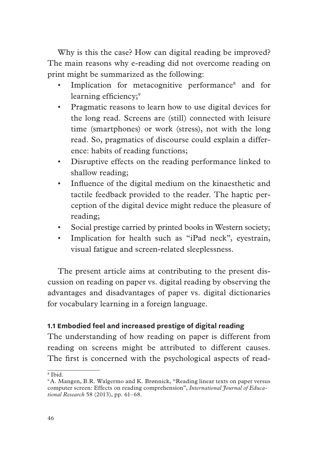Why is this the case? How can digital reading be improved? The main reasons why e-reading did not overcome reading on print might be summarized as the following:

- Implication for metacognitive performance<sup>8</sup> and for learning efficiency;<sup>9</sup>
- Pragmatic reasons to learn how to use digital devices for the long read. Screens are (still) connected with leisure time (smartphones) or work (stress), not with the long read. So, pragmatics of discourse could explain a difference: habits of reading functions;
- Disruptive effects on the reading performance linked to shallow reading;
- Infuence of the digital medium on the kinaesthetic and tactile feedback provided to the reader. The haptic perception of the digital device might reduce the pleasure of reading;
- Social prestige carried by printed books in Western society;
- Implication for health such as "iPad neck", eyestrain, visual fatigue and screen-related sleeplessness.

The present article aims at contributing to the present discussion on reading on paper vs. digital reading by observing the advantages and disadvantages of paper vs. digital dictionaries for vocabulary learning in a foreign language.

#### **1.1 Embodied feel and increased prestige of digital reading**

The understanding of how reading on paper is different from reading on screens might be attributed to different causes. The frst is concerned with the psychological aspects of read-

<sup>8</sup> Ibid.

<sup>&</sup>lt;sup>9</sup> A. Mangen, B.R. Walgermo and K. Brønnick, "Reading linear texts on paper versus computer screen: Effects on reading comprehension", *International Journal of Educational Research* 58 (2013), pp. 61–68.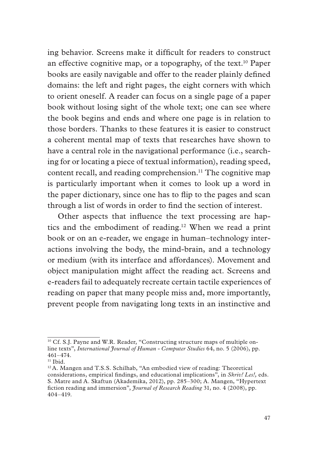ing behavior. Screens make it diffcult for readers to construct an effective cognitive map, or a topography, of the text.<sup>10</sup> Paper books are easily navigable and offer to the reader plainly defned domains: the left and right pages, the eight corners with which to orient oneself. A reader can focus on a single page of a paper book without losing sight of the whole text; one can see where the book begins and ends and where one page is in relation to those borders. Thanks to these features it is easier to construct a coherent mental map of texts that researches have shown to have a central role in the navigational performance (i.e., searching for or locating a piece of textual information), reading speed, content recall, and reading comprehension.<sup>11</sup> The cognitive map is particularly important when it comes to look up a word in the paper dictionary, since one has to fip to the pages and scan through a list of words in order to fnd the section of interest.

Other aspects that infuence the text processing are haptics and the embodiment of reading.12 When we read a print book or on an e-reader, we engage in human–technology interactions involving the body, the mind-brain, and a technology or medium (with its interface and affordances). Movement and object manipulation might affect the reading act. Screens and e-readers fail to adequately recreate certain tactile experiences of reading on paper that many people miss and, more importantly, prevent people from navigating long texts in an instinctive and

<sup>&</sup>lt;sup>10</sup> Cf. S.J. Payne and W.R. Reader, "Constructing structure maps of multiple online texts", *International Journal of Human - Computer Studies* 64, no. 5 (2006), pp. 461–474.

 $<sup>11</sup>$  Ibid.</sup>

<sup>&</sup>lt;sup>12</sup> A. Mangen and T.S.S. Schilhab, "An embodied view of reading: Theoretical considerations, empirical fndings, and educational implications", in *Skriv! Les!,* eds. S. Matre and A. Skaftun (Akademika, 2012), pp. 285–300; A. Mangen, "Hypertext fction reading and immersion", *Journal of Research Reading* 31, no. 4 (2008), pp. 404–419.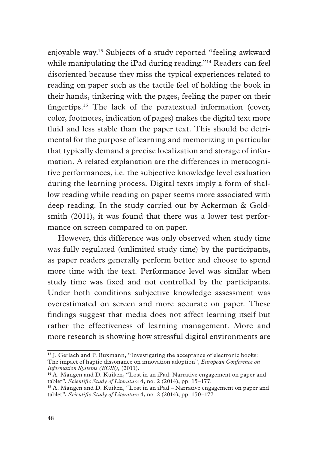enjoyable way.13 Subjects of a study reported "feeling awkward while manipulating the iPad during reading."<sup>14</sup> Readers can feel disoriented because they miss the typical experiences related to reading on paper such as the tactile feel of holding the book in their hands, tinkering with the pages, feeling the paper on their fngertips.15 The lack of the paratextual information (cover, color, footnotes, indication of pages) makes the digital text more fuid and less stable than the paper text. This should be detrimental for the purpose of learning and memorizing in particular that typically demand a precise localization and storage of information. A related explanation are the differences in metacognitive performances, i.e. the subjective knowledge level evaluation during the learning process. Digital texts imply a form of shallow reading while reading on paper seems more associated with deep reading. In the study carried out by Ackerman & Goldsmith (2011), it was found that there was a lower test performance on screen compared to on paper.

However, this difference was only observed when study time was fully regulated (unlimited study time) by the participants, as paper readers generally perform better and choose to spend more time with the text. Performance level was similar when study time was fxed and not controlled by the participants. Under both conditions subjective knowledge assessment was overestimated on screen and more accurate on paper. These fndings suggest that media does not affect learning itself but rather the effectiveness of learning management. More and more research is showing how stressful digital environments are

<sup>&</sup>lt;sup>13</sup> J. Gerlach and P. Buxmann, "Investigating the acceptance of electronic books: The impact of haptic dissonance on innovation adoption", *European Conference on Information Systems (ECIS)*, (2011).

<sup>&</sup>lt;sup>14</sup> A. Mangen and D. Kuiken, "Lost in an iPad: Narrative engagement on paper and tablet", *Scientifc Study of Literature* 4, no. 2 (2014), pp. 15–177.

<sup>&</sup>lt;sup>15</sup> A. Mangen and D. Kuiken, "Lost in an iPad – Narrative engagement on paper and tablet", *Scientifc Study of Literature* 4, no. 2 (2014), pp. 150–177.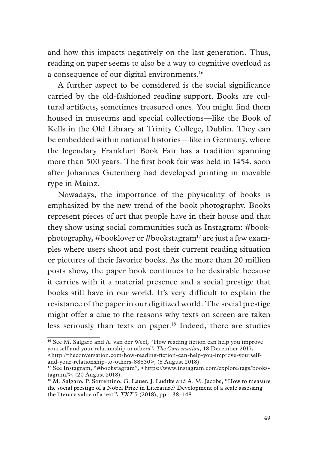and how this impacts negatively on the last generation. Thus, reading on paper seems to also be a way to cognitive overload as a consequence of our digital environments.<sup>16</sup>

A further aspect to be considered is the social signifcance carried by the old-fashioned reading support. Books are cultural artifacts, sometimes treasured ones. You might fnd them housed in museums and special collections—like the Book of Kells in the Old Library at Trinity College, Dublin. They can be embedded within national histories—like in Germany, where the legendary Frankfurt Book Fair has a tradition spanning more than 500 years. The frst book fair was held in 1454, soon after Johannes Gutenberg had developed printing in movable type in Mainz.

Nowadays, the importance of the physicality of books is emphasized by the new trend of the book photography. Books represent pieces of art that people have in their house and that they show using social communities such as Instagram: #bookphotography, #booklover or #bookstagram17 are just a few examples where users shoot and post their current reading situation or pictures of their favorite books. As the more than 20 million posts show, the paper book continues to be desirable because it carries with it a material presence and a social prestige that books still have in our world. It's very diffcult to explain the resistance of the paper in our digitized world. The social prestige might offer a clue to the reasons why texts on screen are taken less seriously than texts on paper.18 Indeed, there are studies

<sup>&</sup>lt;sup>16</sup> See M. Salgaro and A. van der Weel, "How reading fiction can help you improve yourself and your relationship to others", *The Conversation,* 18 December 2017, <http://theconversation.com/how-reading-fction-can-help-you-improve-yourselfand-your-relationship-to-others-88830>, (8 August 2018).

<sup>&</sup>lt;sup>17</sup> See Instagram, "#bookstagram", <https://www.instagram.com/explore/tags/bookstagram/>, (20 August 2018).

<sup>&</sup>lt;sup>18</sup> M. Salgaro, P. Sorrentino, G. Lauer, J. Lüdtke and A. M. Jacobs, "How to measure the social prestige of a Nobel Prize in Literature? Development of a scale assessing the literary value of a text", *TXT* 5 (2018), pp. 138–148.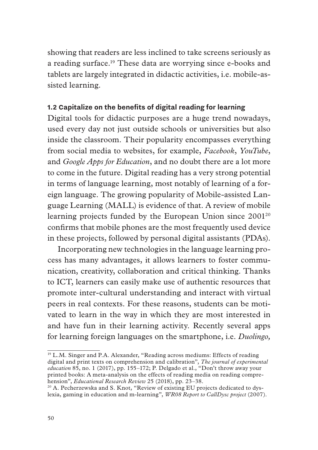showing that readers are less inclined to take screens seriously as a reading surface.19 These data are worrying since e-books and tablets are largely integrated in didactic activities, i.e. mobile-assisted learning.

#### **1.2 Capitalize on the benefits of digital reading for learning**

Digital tools for didactic purposes are a huge trend nowadays, used every day not just outside schools or universities but also inside the classroom. Their popularity encompasses everything from social media to websites, for example, *Facebook*, *YouTube*, and *Google Apps for Education*, and no doubt there are a lot more to come in the future. Digital reading has a very strong potential in terms of language learning, most notably of learning of a foreign language. The growing popularity of Mobile-assisted Language Learning (MALL) is evidence of that. A review of mobile learning projects funded by the European Union since 2001<sup>20</sup> confrms that mobile phones are the most frequently used device in these projects, followed by personal digital assistants (PDAs).

Incorporating new technologies in the language learning process has many advantages, it allows learners to foster communication, creativity, collaboration and critical thinking. Thanks to ICT, learners can easily make use of authentic resources that promote inter-cultural understanding and interact with virtual peers in real contexts. For these reasons, students can be motivated to learn in the way in which they are most interested in and have fun in their learning activity. Recently several apps for learning foreign languages on the smartphone, i.e. *Duolingo,* 

<sup>19</sup> L.M. Singer and P.A. Alexander, "Reading across mediums: Effects of reading digital and print texts on comprehension and calibration", *The journal of experimental education* 85, no. 1 (2017), pp. 155–172; P. Delgado et al., "Don't throw away your printed books: A meta-analysis on the effects of reading media on reading comprehension", *Educational Research Review* 25 (2018), pp. 23–38.

<sup>&</sup>lt;sup>20</sup> A. Pecherzewska and S. Knot, "Review of existing EU projects dedicated to dyslexia, gaming in education and m-learning", *WR08 Report to CallDysc project* (2007).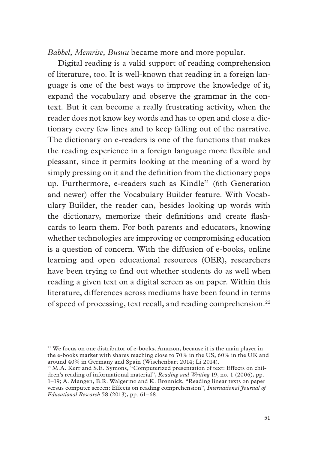*Babbel, Memrise, Busuu* became more and more popular.

Digital reading is a valid support of reading comprehension of literature, too. It is well-known that reading in a foreign language is one of the best ways to improve the knowledge of it, expand the vocabulary and observe the grammar in the context. But it can become a really frustrating activity, when the reader does not know key words and has to open and close a dictionary every few lines and to keep falling out of the narrative. The dictionary on e-readers is one of the functions that makes the reading experience in a foreign language more fexible and pleasant, since it permits looking at the meaning of a word by simply pressing on it and the defnition from the dictionary pops up. Furthermore, e-readers such as Kindle<sup>21</sup> (6th Generation and newer) offer the Vocabulary Builder feature. With Vocabulary Builder, the reader can, besides looking up words with the dictionary, memorize their defnitions and create fashcards to learn them. For both parents and educators, knowing whether technologies are improving or compromising education is a question of concern. With the diffusion of e-books, online learning and open educational resources (OER), researchers have been trying to fnd out whether students do as well when reading a given text on a digital screen as on paper. Within this literature, differences across mediums have been found in terms of speed of processing, text recall, and reading comprehension.22

<sup>&</sup>lt;sup>21</sup> We focus on one distributor of e-books, Amazon, because it is the main player in the e-books market with shares reaching close to 70% in the US, 60% in the UK and around 40% in Germany and Spain (Wischenbart 2014; Li 2014).

<sup>&</sup>lt;sup>22</sup> M.A. Kerr and S.E. Symons, "Computerized presentation of text: Effects on children's reading of informational material", *Reading and Writing* 19, no. 1 (2006), pp. 1–19; A. Mangen, B.R. Walgermo and K. Brønnick, "Reading linear texts on paper versus computer screen: Effects on reading comprehension", *International Journal of Educational Research* 58 (2013), pp. 61–68.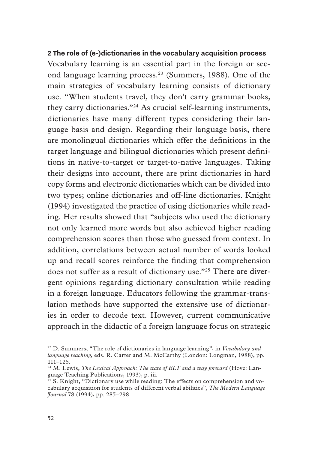#### **2 The role of (e-)dictionaries in the vocabulary acquisition process**

Vocabulary learning is an essential part in the foreign or second language learning process.23 (Summers, 1988). One of the main strategies of vocabulary learning consists of dictionary use. "When students travel, they don't carry grammar books, they carry dictionaries."24 As crucial self-learning instruments, dictionaries have many different types considering their language basis and design. Regarding their language basis, there are monolingual dictionaries which offer the defnitions in the target language and bilingual dictionaries which present defnitions in native-to-target or target-to-native languages. Taking their designs into account, there are print dictionaries in hard copy forms and electronic dictionaries which can be divided into two types; online dictionaries and off-line dictionaries. Knight (1994) investigated the practice of using dictionaries while reading. Her results showed that "subjects who used the dictionary not only learned more words but also achieved higher reading comprehension scores than those who guessed from context. In addition, correlations between actual number of words looked up and recall scores reinforce the fnding that comprehension does not suffer as a result of dictionary use."25 There are divergent opinions regarding dictionary consultation while reading in a foreign language. Educators following the grammar-translation methods have supported the extensive use of dictionaries in order to decode text. However, current communicative approach in the didactic of a foreign language focus on strategic

<sup>23</sup> D. Summers, "The role of dictionaries in language learning", in *Vocabulary and language teaching*, eds. R. Carter and M. McCarthy (London: Longman, 1988), pp. 111–125.

<sup>&</sup>lt;sup>24</sup> M. Lewis, *The Lexical Approach: The state of ELT and a way forward* (Hove: Language Teaching Publications, 1993), p. iii.

 $25$  S. Knight, "Dictionary use while reading: The effects on comprehension and vocabulary acquisition for students of different verbal abilities", *The Modern Language Journal* 78 (1994), pp. 285–298.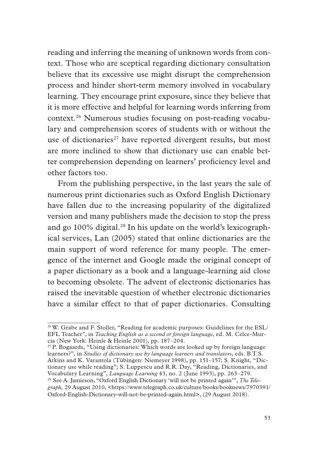reading and inferring the meaning of unknown words from context. Those who are sceptical regarding dictionary consultation believe that its excessive use might disrupt the comprehension process and hinder short-term memory involved in vocabulary learning. They encourage print exposure, since they believe that it is more effective and helpful for learning words inferring from context.26 Numerous studies focusing on post-reading vocabulary and comprehension scores of students with or without the use of dictionaries<sup>27</sup> have reported divergent results, but most are more inclined to show that dictionary use can enable better comprehension depending on learners' profciency level and other factors too.

From the publishing perspective, in the last years the sale of numerous print dictionaries such as Oxford English Dictionary have fallen due to the increasing popularity of the digitalized version and many publishers made the decision to stop the press and go 100% digital.<sup>28</sup> In his update on the world's lexicographical services, Lan (2005) stated that online dictionaries are the main support of word reference for many people. The emergence of the internet and Google made the original concept of a paper dictionary as a book and a language-learning aid close to becoming obsolete. The advent of electronic dictionaries has raised the inevitable question of whether electronic dictionaries have a similar effect to that of paper dictionaries. Consulting

 $27$  P. Bogaards, "Using dictionaries: Which words are looked up by foreign language learners?", in *Studies of dictionary use by language learners and translators*, eds. B.T.S. Atkins and K. Varantola (Tübingen: Niemeyer 1998), pp. 151–157; S. Knight, "Dictionary use while reading"; S. Luppescu and R.R. Day, "Reading, Dictionaries, and Vocabulary Learning", *Language Learning* 43, no. 2 (June 1993), pp. 263–279. 28 See A. Jamieson, "Oxford English Dictionary 'will not be printed again'", *The Telegraph,* 29 August 2010, <https://www.telegraph.co.uk/culture/books/booknews/7970391/ Oxford-English-Dictionary-will-not-be-printed-again.html>, (29 August 2018).

<sup>26</sup> W. Grabe and F. Stoller, "Reading for academic purposes: Guidelines for the ESL/ EFL Teacher", in *Teaching English as a second or foreign language*, ed. M. Celce-Murcia (New York: Heinle & Heinle 2001), pp. 187–204.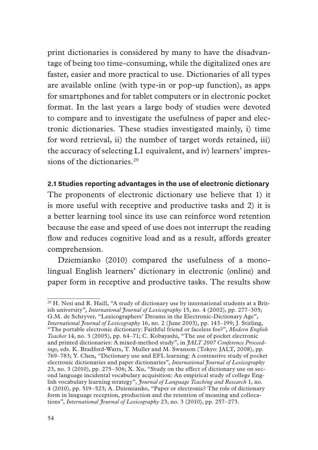print dictionaries is considered by many to have the disadvantage of being too time-consuming, while the digitalized ones are faster, easier and more practical to use. Dictionaries of all types are available online (with type-in or pop-up function), as apps for smartphones and for tablet computers or in electronic pocket format. In the last years a large body of studies were devoted to compare and to investigate the usefulness of paper and electronic dictionaries. These studies investigated mainly, i) time for word retrieval, ii) the number of target words retained, iii) the accuracy of selecting L1 equivalent, and iv) learners' impressions of the dictionaries.<sup>29</sup>

#### **2.1 Studies reporting advantages in the use of electronic dictionary**

The proponents of electronic dictionary use believe that 1) it is more useful with receptive and productive tasks and 2) it is a better learning tool since its use can reinforce word retention because the ease and speed of use does not interrupt the reading flow and reduces cognitive load and as a result, affords greater comprehension.

Dziemianko (2010) compared the usefulness of a monolingual English learners' dictionary in electronic (online) and paper form in receptive and productive tasks. The results show

<sup>&</sup>lt;sup>29</sup> H. Nesi and R. Haill, "A study of dictionary use by international students at a British university", *International Journal of Lexicography* 15, no. 4 (2002), pp. 277–305; G.M. de Schryver, "Lexicographers' Dreams in the Electronic-Dictionary Age", *International Journal of Lexicography* 16, no. 2 (June 2003), pp. 143–199; J. Stirling, "The portable electronic dictionary: Faithful friend or faceless foe?", *Modern English Teacher* 14, no. 3 (2005), pp. 64–71; C. Kobayashi, "The use of pocket electronic and printed dictionaries: A mixed-method study", in *JALT 2007 Conference Proceedings*, eds. K. Bradford-Watts, T. Muller and M. Swanson (Tokyo: JALT, 2008), pp. 769–783; Y. Chen, "Dictionary use and EFL learning: A contrastive study of pocket electronic dictionaries and paper dictionaries", *International Journal of Lexicography*  23, no. 3 (2010), pp. 275–306; X. Xu, "Study on the effect of dictionary use on second language incidental vocabulary acquisition: An empirical study of college English vocabulary learning strategy", *Journal of Language Teaching and Research* 1, no. 4 (2010), pp. 519–523; A. Dziemianko, "Paper or electronic? The role of dictionary form in language reception, production and the retention of meaning and collocations", *International Journal of Lexicography* 23, no. 3 (2010), pp. 257–273.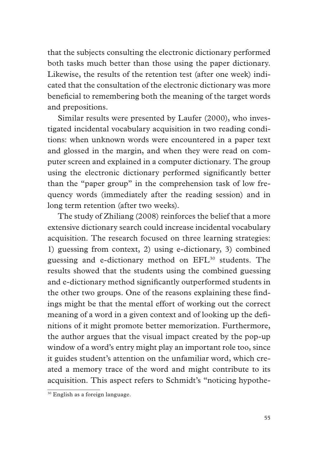that the subjects consulting the electronic dictionary performed both tasks much better than those using the paper dictionary. Likewise, the results of the retention test (after one week) indicated that the consultation of the electronic dictionary was more benefcial to remembering both the meaning of the target words and prepositions.

Similar results were presented by Laufer (2000), who investigated incidental vocabulary acquisition in two reading conditions: when unknown words were encountered in a paper text and glossed in the margin, and when they were read on computer screen and explained in a computer dictionary. The group using the electronic dictionary performed signifcantly better than the "paper group" in the comprehension task of low frequency words (immediately after the reading session) and in long term retention (after two weeks).

The study of Zhiliang (2008) reinforces the belief that a more extensive dictionary search could increase incidental vocabulary acquisition. The research focused on three learning strategies: 1) guessing from context, 2) using e-dictionary, 3) combined guessing and e-dictionary method on EFL30 students. The results showed that the students using the combined guessing and e-dictionary method signifcantly outperformed students in the other two groups. One of the reasons explaining these fndings might be that the mental effort of working out the correct meaning of a word in a given context and of looking up the defnitions of it might promote better memorization. Furthermore, the author argues that the visual impact created by the pop-up window of a word's entry might play an important role too, since it guides student's attention on the unfamiliar word, which created a memory trace of the word and might contribute to its acquisition. This aspect refers to Schmidt's "noticing hypothe-

<sup>30</sup> English as a foreign language.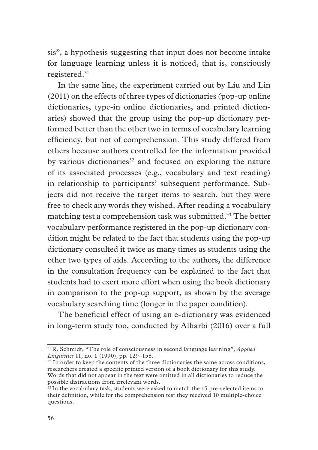sis", a hypothesis suggesting that input does not become intake for language learning unless it is noticed, that is, consciously registered.31

In the same line, the experiment carried out by Liu and Lin (2011) on the effects of three types of dictionaries (pop-up online dictionaries, type-in online dictionaries, and printed dictionaries) showed that the group using the pop-up dictionary performed better than the other two in terms of vocabulary learning effciency, but not of comprehension. This study differed from others because authors controlled for the information provided by various dictionaries<sup>32</sup> and focused on exploring the nature of its associated processes (e.g., vocabulary and text reading) in relationship to participants' subsequent performance. Subjects did not receive the target items to search, but they were free to check any words they wished. After reading a vocabulary matching test a comprehension task was submitted.<sup>33</sup> The better vocabulary performance registered in the pop-up dictionary condition might be related to the fact that students using the pop-up dictionary consulted it twice as many times as students using the other two types of aids. According to the authors, the difference in the consultation frequency can be explained to the fact that students had to exert more effort when using the book dictionary in comparison to the pop-up support, as shown by the average vocabulary searching time (longer in the paper condition).

The beneficial effect of using an e-dictionary was evidenced in long-term study too, conducted by Alharbi (2016) over a full

<sup>31</sup> R. Schmidt, "The role of consciousness in second language learning", *Applied Linguistics* 11, no. 1 (1990), pp. 129–158.

 $32$  In order to keep the contents of the three dictionaries the same across conditions, researchers created a specifc printed version of a book dictionary for this study. Words that did not appear in the text were omitted in all dictionaries to reduce the possible distractions from irrelevant words.

 $33$  In the vocabulary task, students were asked to match the 15 pre-selected items to their defnition, while for the comprehension test they received 10 multiple-choice questions.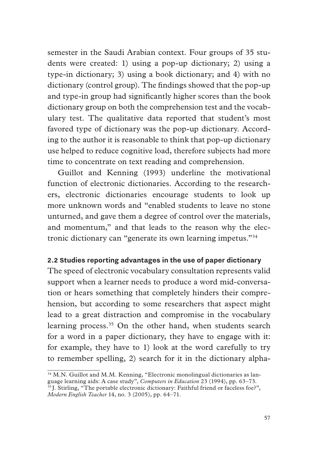semester in the Saudi Arabian context. Four groups of 35 students were created: 1) using a pop-up dictionary; 2) using a type-in dictionary; 3) using a book dictionary; and 4) with no dictionary (control group). The fndings showed that the pop-up and type-in group had signifcantly higher scores than the book dictionary group on both the comprehension test and the vocabulary test. The qualitative data reported that student's most favored type of dictionary was the pop-up dictionary. According to the author it is reasonable to think that pop-up dictionary use helped to reduce cognitive load, therefore subjects had more time to concentrate on text reading and comprehension.

Guillot and Kenning (1993) underline the motivational function of electronic dictionaries. According to the researchers, electronic dictionaries encourage students to look up more unknown words and "enabled students to leave no stone unturned, and gave them a degree of control over the materials, and momentum," and that leads to the reason why the electronic dictionary can "generate its own learning impetus."34

#### **2.2 Studies reporting advantages in the use of paper dictionary**

The speed of electronic vocabulary consultation represents valid support when a learner needs to produce a word mid-conversation or hears something that completely hinders their comprehension, but according to some researchers that aspect might lead to a great distraction and compromise in the vocabulary learning process.<sup>35</sup> On the other hand, when students search for a word in a paper dictionary, they have to engage with it: for example, they have to 1) look at the word carefully to try to remember spelling, 2) search for it in the dictionary alpha-

<sup>&</sup>lt;sup>34</sup> M.N. Guillot and M.M. Kenning, "Electronic monolingual dictionaries as language learning aids: A case study", *Computers in Education* 23 (1994), pp. 63–73.

<sup>&</sup>lt;sup>35</sup> J. Stirling, "The portable electronic dictionary: Faithful friend or faceless foe?", *Modern English Teacher* 14, no. 3 (2005), pp. 64–71.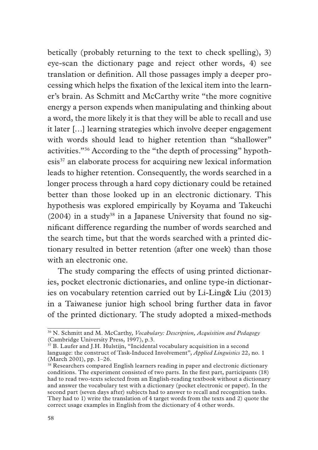betically (probably returning to the text to check spelling), 3) eye-scan the dictionary page and reject other words, 4) see translation or defnition. All those passages imply a deeper processing which helps the fxation of the lexical item into the learner's brain. As Schmitt and McCarthy write "the more cognitive energy a person expends when manipulating and thinking about a word, the more likely it is that they will be able to recall and use it later […] learning strategies which involve deeper engagement with words should lead to higher retention than "shallower" activities."36 According to the "the depth of processing" hypothesis<sup>37</sup> an elaborate process for acquiring new lexical information leads to higher retention. Consequently, the words searched in a longer process through a hard copy dictionary could be retained better than those looked up in an electronic dictionary. This hypothesis was explored empirically by Koyama and Takeuchi  $(2004)$  in a study<sup>38</sup> in a Japanese University that found no signifcant difference regarding the number of words searched and the search time, but that the words searched with a printed dictionary resulted in better retention (after one week) than those with an electronic one.

The study comparing the effects of using printed dictionaries, pocket electronic dictionaries, and online type-in dictionaries on vocabulary retention carried out by Li-Ling& Liu (2013) in a Taiwanese junior high school bring further data in favor of the printed dictionary. The study adopted a mixed-methods

<sup>36</sup> N. Schmitt and M. McCarthy, *Vocabulary: Description, Acquisition and Pedagogy* (Cambridge University Press, 1997), p.3.

<sup>&</sup>lt;sup>37</sup> B. Laufer and J.H. Hulstijn, "Incidental vocabulary acquisition in a second language: the construct of Task-Induced Involvement", *Applied Linguistics* 22, no. 1 (March 2001), pp. 1–26.

<sup>&</sup>lt;sup>38</sup> Researchers compared English learners reading in paper and electronic dictionary conditions. The experiment consisted of two parts. In the frst part, participants (18) had to read two-texts selected from an English-reading textbook without a dictionary and answer the vocabulary test with a dictionary (pocket electronic or paper). In the second part (seven days after) subjects had to answer to recall and recognition tasks. They had to 1) write the translation of 4 target words from the texts and 2) quote the correct usage examples in English from the dictionary of 4 other words.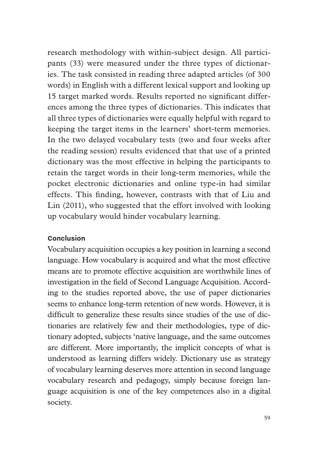research methodology with within-subject design. All participants (33) were measured under the three types of dictionaries. The task consisted in reading three adapted articles (of 300 words) in English with a different lexical support and looking up 15 target marked words. Results reported no signifcant differences among the three types of dictionaries. This indicates that all three types of dictionaries were equally helpful with regard to keeping the target items in the learners' short-term memories. In the two delayed vocabulary tests (two and four weeks after the reading session) results evidenced that that use of a printed dictionary was the most effective in helping the participants to retain the target words in their long-term memories, while the pocket electronic dictionaries and online type-in had similar effects. This fnding, however, contrasts with that of Liu and Lin (2011), who suggested that the effort involved with looking up vocabulary would hinder vocabulary learning.

#### **Conclusion**

Vocabulary acquisition occupies a key position in learning a second language. How vocabulary is acquired and what the most effective means are to promote effective acquisition are worthwhile lines of investigation in the feld of Second Language Acquisition. According to the studies reported above, the use of paper dictionaries seems to enhance long-term retention of new words. However, it is diffcult to generalize these results since studies of the use of dictionaries are relatively few and their methodologies, type of dictionary adopted, subjects 'native language, and the same outcomes are different. More importantly, the implicit concepts of what is understood as learning differs widely. Dictionary use as strategy of vocabulary learning deserves more attention in second language vocabulary research and pedagogy, simply because foreign language acquisition is one of the key competences also in a digital society.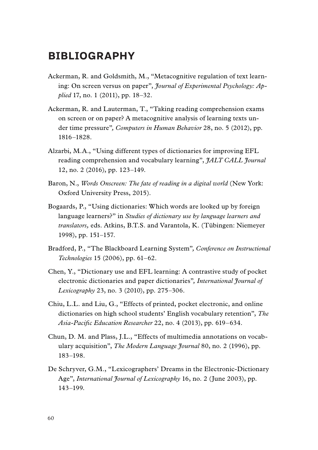### **BIBLIOGRAPHY**

- Ackerman, R. and Goldsmith, M., "Metacognitive regulation of text learning: On screen versus on paper", *Journal of Experimental Psychology: Applied* 17, no. 1 (2011), pp. 18–32.
- Ackerman, R. and Lauterman, T., "Taking reading comprehension exams on screen or on paper? A metacognitive analysis of learning texts under time pressure"*, Computers in Human Behavior* 28, no. 5 (2012), pp. 1816–1828.
- Alzarbi, M.A., "Using different types of dictionaries for improving EFL reading comprehension and vocabulary learning", *JALT CALL Journal* 12, no. 2 (2016), pp. 123–149.
- Baron, N., *Words Onscreen: The fate of reading in a digital world* (New York: Oxford University Press, 2015).
- Bogaards, P., "Using dictionaries: Which words are looked up by foreign language learners?" in *Studies of dictionary use by language learners and translators,* eds. Atkins, B.T.S. and Varantola, K. (Tübingen: Niemeyer 1998), pp. 151–157.
- Bradford, P., "The Blackboard Learning System"*, Conference on Instructional Technologies* 15 (2006), pp. 61–62.
- Chen, Y., "Dictionary use and EFL learning: A contrastive study of pocket electronic dictionaries and paper dictionaries"*, International Journal of Lexicography* 23, no. 3 (2010), pp. 275–306.
- Chiu, L.L. and Liu, G., "Effects of printed, pocket electronic, and online dictionaries on high school students' English vocabulary retention", *The Asia-Pacifc Education Researcher* 22, no. 4 (2013), pp. 619–634.
- Chun, D. M. and Plass, J.L., "Effects of multimedia annotations on vocabulary acquisition", *The Modern Language Journal* 80, no. 2 (1996), pp. 183–198.
- De Schryver, G.M., "Lexicographers' Dreams in the Electronic-Dictionary Age", *International Journal of Lexicography* 16, no. 2 (June 2003), pp. 143–199.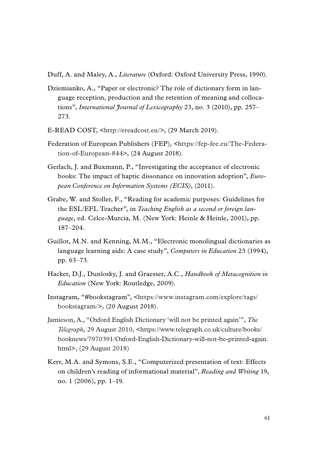Duff, A. and Maley, A., *Literature* (Oxford: Oxford University Press, 1990).

- Dziemianko, A., "Paper or electronic? The role of dictionary form in language reception, production and the retention of meaning and collocations", *International Journal of Lexicography* 23, no. 3 (2010), pp. 257– 273.
- E-READ COST, <http://ereadcost.eu/>, (29 March 2019).
- Federation of European Publishers (FEP), <https://fep-fee.eu/The-Federation-of-European-844>, (24 August 2018).
- Gerlach, J. and Buxmann, P., "Investigating the acceptance of electronic books: The impact of haptic dissonance on innovation adoption", *European Conference on Information Systems (ECIS)*, (2011).
- Grabe, W. and Stoller, F., "Reading for academic purposes: Guidelines for the ESL/EFL Teacher", in *Teaching English as a second or foreign language,* ed. Celce-Murcia, M. (New York: Heinle & Heinle, 2001), pp. 187–204.
- Guillot, M.N. and Kenning, M.M., "Electronic monolingual dictionaries as language learning aids: A case study", *Computers in Education* 23 (1994), pp. 63–73.
- Hacker, D.J., Dunlosky, J. and Graesser, A.C., *Handbook of Metacognition in Education* (New York: Routledge, 2009).
- Instagram, "#bookstagram", <https://www.instagram.com/explore/tags/ bookstagram/>, (20 August 2018).
- Jamieson, A., "Oxford English Dictionary 'will not be printed again'", *The Telegraph,* 29 August 2010, <https://www.telegraph.co.uk/culture/books/ booknews/7970391/Oxford-English-Dictionary-will-not-be-printed-again. html>, (29 August 2018)
- Kerr, M.A. and Symons, S.E., "Computerized presentation of text: Effects on children's reading of informational material", *Reading and Writing* 19, no. 1 (2006), pp. 1–19.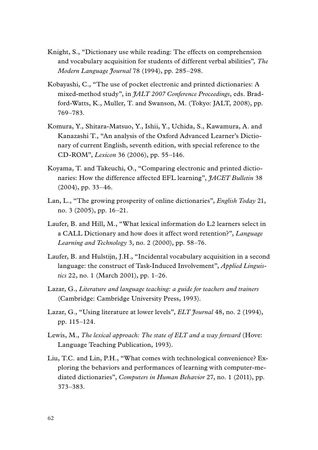- Knight, S., "Dictionary use while reading: The effects on comprehension and vocabulary acquisition for students of different verbal abilities"*, The Modern Language Journal* 78 (1994), pp. 285–298.
- Kobayashi, C., "The use of pocket electronic and printed dictionaries: A mixed-method study", in *JALT 2007 Conference Proceedings*, eds. Bradford-Watts, K., Muller, T. and Swanson, M. (Tokyo: JALT, 2008), pp. 769–783.
- Komura, Y., Shitara-Matsuo, Y., Ishii, Y., Uchida, S., Kawamura, A. and Kanazashi T., "An analysis of the Oxford Advanced Learner's Dictionary of current English, seventh edition, with special reference to the CD-ROM", *Lexicon* 36 (2006), pp. 55–146.
- Koyama, T. and Takeuchi, O., "Comparing electronic and printed dictionaries: How the difference affected EFL learning", *JACET Bulletin* 38  $(2004)$ , pp. 33–46.
- Lan, L., "The growing prosperity of online dictionaries", *English Today* 21, no. 3 (2005), pp. 16–21.
- Laufer, B. and Hill, M., "What lexical information do L2 learners select in a CALL Dictionary and how does it affect word retention?", *Language Learning and Technology* 3, no. 2 (2000), pp. 58–76.
- Laufer, B. and Hulstijn, J.H., "Incidental vocabulary acquisition in a second language: the construct of Task-Induced Involvement", *Applied Linguistics* 22, no. 1 (March 2001), pp. 1–26.
- Lazar, G., *Literature and language teaching: a guide for teachers and trainers* (Cambridge: Cambridge University Press, 1993).
- Lazar, G., "Using literature at lower levels", *ELT Journal* 48, no. 2 (1994), pp. 115–124.
- Lewis, M., *The lexical approach: The state of ELT and a way forward* (Hove: Language Teaching Publication, 1993).
- Liu, T.C. and Lin, P.H., "What comes with technological convenience? Exploring the behaviors and performances of learning with computer-mediated dictionaries", *Computers in Human Behavior* 27, no. 1 (2011), pp. 373–383.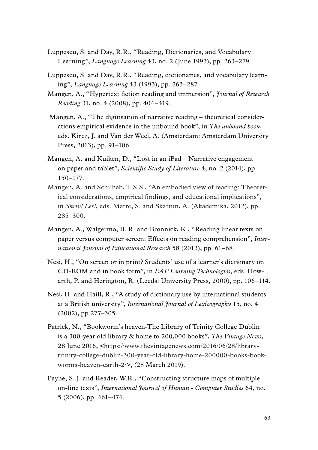- Luppescu, S. and Day, R.R., "Reading, Dictionaries, and Vocabulary Learning", *Language Learning* 43, no. 2 (June 1993), pp. 263–279.
- Luppescu, S. and Day, R.R., "Reading, dictionaries, and vocabulary learning", *Language Learning* 43 (1993), pp. 263–287.
- Mangen, A., "Hypertext fction reading and immersion", *Journal of Research Reading* 31, no. 4 (2008), pp. 404–419.
- Mangen, A., "The digitisation of narrative reading theoretical considerations empirical evidence in the unbound book", in *The unbound book,*  eds. Kircz, J. and Van der Weel, A. (Amsterdam: Amsterdam University Press, 2013), pp. 91–106.
- Mangen, A. and Kuiken, D., "Lost in an iPad Narrative engagement on paper and tablet", *Scientifc Study of Literature* 4, no. 2 (2014), pp. 150–177.
- Mangen, A. and Schilhab, T.S.S., "An embodied view of reading: Theoretical considerations, empirical fndings, and educational implications", in *Skriv! Les!,* eds. Matre, S. and Skaftun, A. (Akademika, 2012), pp. 285–300.
- Mangen, A., Walgermo, B. R. and Brønnick, K., "Reading linear texts on paper versus computer screen: Effects on reading comprehension", *International Journal of Educational Research* 58 (2013), pp. 61–68.
- Nesi, H., "On screen or in print? Students' use of a learner's dictionary on CD-ROM and in book form", in *EAP Learning Technologies,* eds. Howarth, P. and Herington, R. (Leeds: University Press, 2000), pp. 106–114.
- Nesi, H. and Haill, R., "A study of dictionary use by international students at a British university", *International Journal of Lexicography* 15, no. 4 (2002), pp.277–305.
- Patrick, N., "Bookworm's heaven-The Library of Trinity College Dublin is a 300-year old library & home to 200,000 books", *The Vintage News*, 28 June 2016, <https://www.thevintagenews.com/2016/06/28/librarytrinity-college-dublin-300-year-old-library-home-200000-books-bookworms-heaven-earth-2/>, (28 March 2019).
- Payne, S. J. and Reader, W.R., "Constructing structure maps of multiple on-line texts", *International Journal of Human - Computer Studies* 64, no. 5 (2006), pp. 461–474.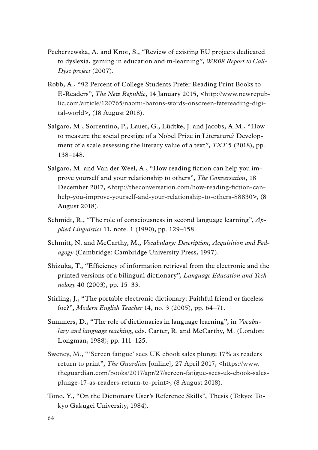- Pecherzewska, A. and Knot, S., "Review of existing EU projects dedicated to dyslexia, gaming in education and m-learning", *WR08 Report to Call-Dysc project* (2007).
- Robb, A., "92 Percent of College Students Prefer Reading Print Books to E-Readers", *The New Republic,* 14 January 2015, <http://www.newrepublic.com/article/120765/naomi-barons-words-onscreen-fatereading-digital-world>, (18 August 2018).
- Salgaro, M., Sorrentino, P., Lauer, G., Lüdtke, J. and Jacobs, A.M., "How to measure the social prestige of a Nobel Prize in Literature? Development of a scale assessing the literary value of a text", *TXT* 5 (2018), pp. 138–148.
- Salgaro, M. and Van der Weel, A., "How reading fiction can help you improve yourself and your relationship to others", *The Conversation*, 18 December 2017, <http://theconversation.com/how-reading-fction-canhelp-you-improve-yourself-and-your-relationship-to-others-88830>, (8 August 2018).
- Schmidt, R., "The role of consciousness in second language learning", *Applied Linguistics* 11, note. 1 (1990), pp. 129–158.
- Schmitt, N. and McCarthy, M., *Vocabulary: Description, Acquisition and Pedagogy* (Cambridge: Cambridge University Press, 1997).
- Shizuka, T., "Effciency of information retrieval from the electronic and the printed versions of a bilingual dictionary"*, Language Education and Technology* 40 (2003), pp. 15–33.
- Stirling, J., "The portable electronic dictionary: Faithful friend or faceless foe?", *Modern English Teacher* 14, no. 3 (2005), pp. 64–71.
- Summers, D., "The role of dictionaries in language learning", in *Vocabulary and language teaching*, eds. Carter, R. and McCarthy, M. (London: Longman, 1988), pp. 111–125.
- Sweney, M., "'Screen fatigue' sees UK ebook sales plunge 17% as readers return to print", *The Guardian* [online]*,* 27 April 2017, <https://www. theguardian.com/books/2017/apr/27/screen-fatigue-sees-uk-ebook-salesplunge-17-as-readers-return-to-print>, (8 August 2018).
- Tono, Y., "On the Dictionary User's Reference Skills", Thesis (Tokyo: Tokyo Gakugei University, 1984).